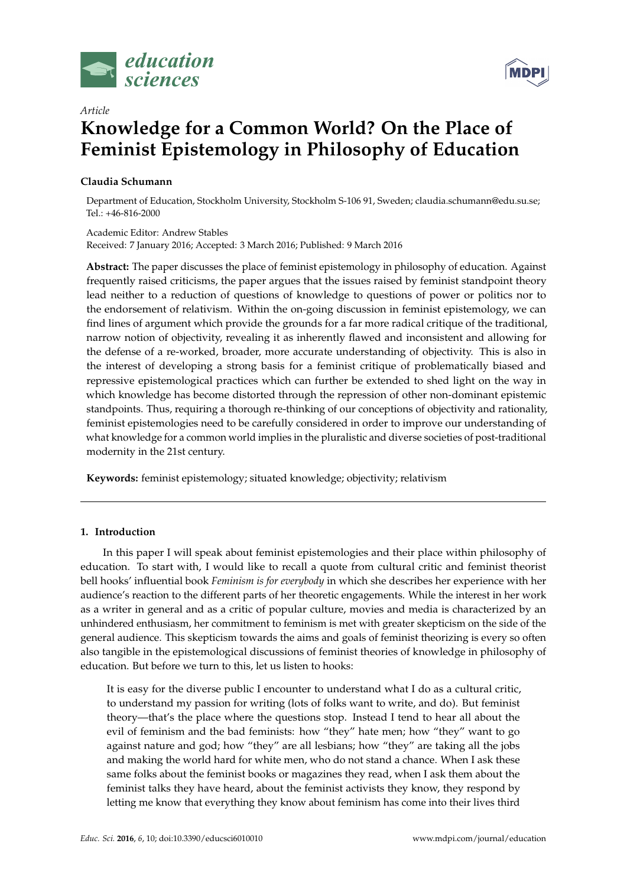



# *Article* **Knowledge for a Common World? On the Place of Feminist Epistemology in Philosophy of Education**

## **Claudia Schumann**

Department of Education, Stockholm University, Stockholm S-106 91, Sweden; claudia.schumann@edu.su.se; Tel.: +46-816-2000

Academic Editor: Andrew Stables Received: 7 January 2016; Accepted: 3 March 2016; Published: 9 March 2016

**Abstract:** The paper discusses the place of feminist epistemology in philosophy of education. Against frequently raised criticisms, the paper argues that the issues raised by feminist standpoint theory lead neither to a reduction of questions of knowledge to questions of power or politics nor to the endorsement of relativism. Within the on-going discussion in feminist epistemology, we can find lines of argument which provide the grounds for a far more radical critique of the traditional, narrow notion of objectivity, revealing it as inherently flawed and inconsistent and allowing for the defense of a re-worked, broader, more accurate understanding of objectivity. This is also in the interest of developing a strong basis for a feminist critique of problematically biased and repressive epistemological practices which can further be extended to shed light on the way in which knowledge has become distorted through the repression of other non-dominant epistemic standpoints. Thus, requiring a thorough re-thinking of our conceptions of objectivity and rationality, feminist epistemologies need to be carefully considered in order to improve our understanding of what knowledge for a common world implies in the pluralistic and diverse societies of post-traditional modernity in the 21st century.

**Keywords:** feminist epistemology; situated knowledge; objectivity; relativism

## **1. Introduction**

In this paper I will speak about feminist epistemologies and their place within philosophy of education. To start with, I would like to recall a quote from cultural critic and feminist theorist bell hooks' influential book *Feminism is for everybody* in which she describes her experience with her audience's reaction to the different parts of her theoretic engagements. While the interest in her work as a writer in general and as a critic of popular culture, movies and media is characterized by an unhindered enthusiasm, her commitment to feminism is met with greater skepticism on the side of the general audience. This skepticism towards the aims and goals of feminist theorizing is every so often also tangible in the epistemological discussions of feminist theories of knowledge in philosophy of education. But before we turn to this, let us listen to hooks:

It is easy for the diverse public I encounter to understand what I do as a cultural critic, to understand my passion for writing (lots of folks want to write, and do). But feminist theory—that's the place where the questions stop. Instead I tend to hear all about the evil of feminism and the bad feminists: how "they" hate men; how "they" want to go against nature and god; how "they" are all lesbians; how "they" are taking all the jobs and making the world hard for white men, who do not stand a chance. When I ask these same folks about the feminist books or magazines they read, when I ask them about the feminist talks they have heard, about the feminist activists they know, they respond by letting me know that everything they know about feminism has come into their lives third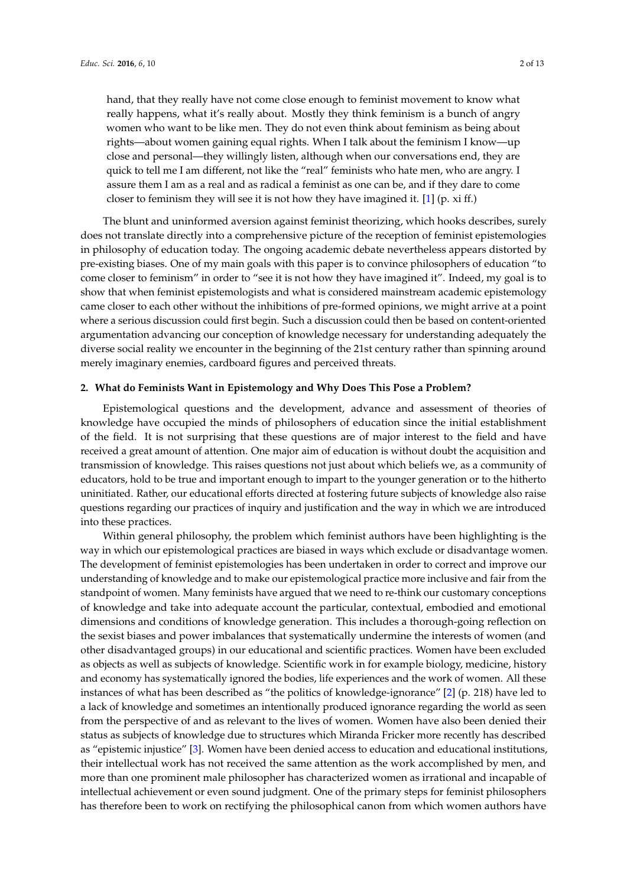hand, that they really have not come close enough to feminist movement to know what really happens, what it's really about. Mostly they think feminism is a bunch of angry women who want to be like men. They do not even think about feminism as being about rights—about women gaining equal rights. When I talk about the feminism I know—up close and personal—they willingly listen, although when our conversations end, they are quick to tell me I am different, not like the "real" feminists who hate men, who are angry. I assure them I am as a real and as radical a feminist as one can be, and if they dare to come closer to feminism they will see it is not how they have imagined it. [\[1\]](#page-10-0) (p. xi ff.)

The blunt and uninformed aversion against feminist theorizing, which hooks describes, surely does not translate directly into a comprehensive picture of the reception of feminist epistemologies in philosophy of education today. The ongoing academic debate nevertheless appears distorted by pre-existing biases. One of my main goals with this paper is to convince philosophers of education "to come closer to feminism" in order to "see it is not how they have imagined it". Indeed, my goal is to show that when feminist epistemologists and what is considered mainstream academic epistemology came closer to each other without the inhibitions of pre-formed opinions, we might arrive at a point where a serious discussion could first begin. Such a discussion could then be based on content-oriented argumentation advancing our conception of knowledge necessary for understanding adequately the diverse social reality we encounter in the beginning of the 21st century rather than spinning around merely imaginary enemies, cardboard figures and perceived threats.

### **2. What do Feminists Want in Epistemology and Why Does This Pose a Problem?**

Epistemological questions and the development, advance and assessment of theories of knowledge have occupied the minds of philosophers of education since the initial establishment of the field. It is not surprising that these questions are of major interest to the field and have received a great amount of attention. One major aim of education is without doubt the acquisition and transmission of knowledge. This raises questions not just about which beliefs we, as a community of educators, hold to be true and important enough to impart to the younger generation or to the hitherto uninitiated. Rather, our educational efforts directed at fostering future subjects of knowledge also raise questions regarding our practices of inquiry and justification and the way in which we are introduced into these practices.

Within general philosophy, the problem which feminist authors have been highlighting is the way in which our epistemological practices are biased in ways which exclude or disadvantage women. The development of feminist epistemologies has been undertaken in order to correct and improve our understanding of knowledge and to make our epistemological practice more inclusive and fair from the standpoint of women. Many feminists have argued that we need to re-think our customary conceptions of knowledge and take into adequate account the particular, contextual, embodied and emotional dimensions and conditions of knowledge generation. This includes a thorough-going reflection on the sexist biases and power imbalances that systematically undermine the interests of women (and other disadvantaged groups) in our educational and scientific practices. Women have been excluded as objects as well as subjects of knowledge. Scientific work in for example biology, medicine, history and economy has systematically ignored the bodies, life experiences and the work of women. All these instances of what has been described as "the politics of knowledge-ignorance" [\[2\]](#page-10-1) (p. 218) have led to a lack of knowledge and sometimes an intentionally produced ignorance regarding the world as seen from the perspective of and as relevant to the lives of women. Women have also been denied their status as subjects of knowledge due to structures which Miranda Fricker more recently has described as "epistemic injustice" [\[3\]](#page-10-2). Women have been denied access to education and educational institutions, their intellectual work has not received the same attention as the work accomplished by men, and more than one prominent male philosopher has characterized women as irrational and incapable of intellectual achievement or even sound judgment. One of the primary steps for feminist philosophers has therefore been to work on rectifying the philosophical canon from which women authors have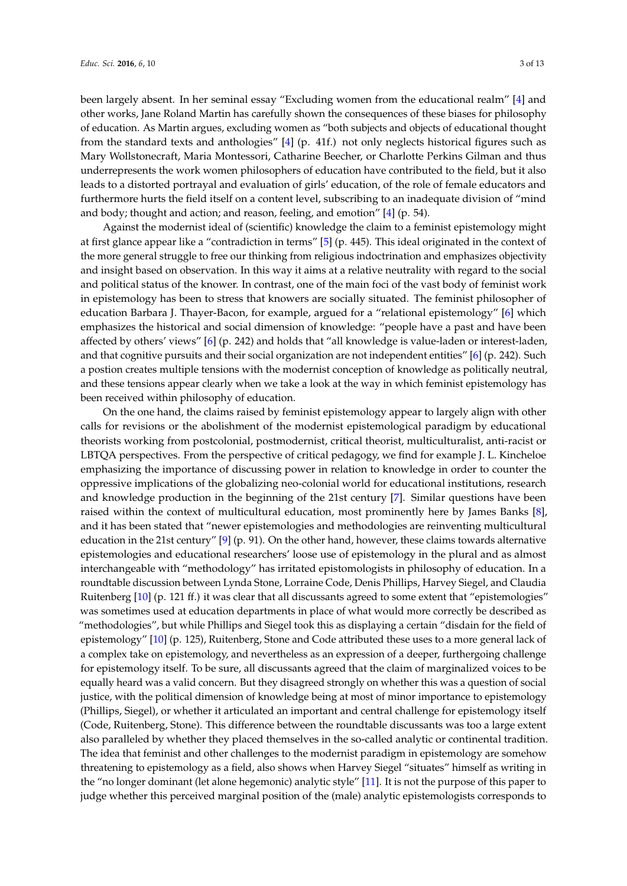been largely absent. In her seminal essay "Excluding women from the educational realm" [\[4\]](#page-10-3) and other works, Jane Roland Martin has carefully shown the consequences of these biases for philosophy of education. As Martin argues, excluding women as "both subjects and objects of educational thought from the standard texts and anthologies" [\[4\]](#page-10-3) (p. 41f.) not only neglects historical figures such as Mary Wollstonecraft, Maria Montessori, Catharine Beecher, or Charlotte Perkins Gilman and thus underrepresents the work women philosophers of education have contributed to the field, but it also leads to a distorted portrayal and evaluation of girls' education, of the role of female educators and furthermore hurts the field itself on a content level, subscribing to an inadequate division of "mind and body; thought and action; and reason, feeling, and emotion" [\[4\]](#page-10-3) (p. 54).

Against the modernist ideal of (scientific) knowledge the claim to a feminist epistemology might at first glance appear like a "contradiction in terms" [\[5\]](#page-10-4) (p. 445). This ideal originated in the context of the more general struggle to free our thinking from religious indoctrination and emphasizes objectivity and insight based on observation. In this way it aims at a relative neutrality with regard to the social and political status of the knower. In contrast, one of the main foci of the vast body of feminist work in epistemology has been to stress that knowers are socially situated. The feminist philosopher of education Barbara J. Thayer-Bacon, for example, argued for a "relational epistemology" [\[6\]](#page-10-5) which emphasizes the historical and social dimension of knowledge: "people have a past and have been affected by others' views" [\[6\]](#page-10-5) (p. 242) and holds that "all knowledge is value-laden or interest-laden, and that cognitive pursuits and their social organization are not independent entities" [\[6\]](#page-10-5) (p. 242). Such a postion creates multiple tensions with the modernist conception of knowledge as politically neutral, and these tensions appear clearly when we take a look at the way in which feminist epistemology has been received within philosophy of education.

On the one hand, the claims raised by feminist epistemology appear to largely align with other calls for revisions or the abolishment of the modernist epistemological paradigm by educational theorists working from postcolonial, postmodernist, critical theorist, multiculturalist, anti-racist or LBTQA perspectives. From the perspective of critical pedagogy, we find for example J. L. Kincheloe emphasizing the importance of discussing power in relation to knowledge in order to counter the oppressive implications of the globalizing neo-colonial world for educational institutions, research and knowledge production in the beginning of the 21st century [\[7\]](#page-10-6). Similar questions have been raised within the context of multicultural education, most prominently here by James Banks [\[8\]](#page-10-7), and it has been stated that "newer epistemologies and methodologies are reinventing multicultural education in the 21st century" [\[9\]](#page-10-8) (p. 91). On the other hand, however, these claims towards alternative epistemologies and educational researchers' loose use of epistemology in the plural and as almost interchangeable with "methodology" has irritated epistomologists in philosophy of education. In a roundtable discussion between Lynda Stone, Lorraine Code, Denis Phillips, Harvey Siegel, and Claudia Ruitenberg [\[10\]](#page-10-9) (p. 121 ff.) it was clear that all discussants agreed to some extent that "epistemologies" was sometimes used at education departments in place of what would more correctly be described as "methodologies", but while Phillips and Siegel took this as displaying a certain "disdain for the field of epistemology" [\[10\]](#page-10-9) (p. 125), Ruitenberg, Stone and Code attributed these uses to a more general lack of a complex take on epistemology, and nevertheless as an expression of a deeper, furthergoing challenge for epistemology itself. To be sure, all discussants agreed that the claim of marginalized voices to be equally heard was a valid concern. But they disagreed strongly on whether this was a question of social justice, with the political dimension of knowledge being at most of minor importance to epistemology (Phillips, Siegel), or whether it articulated an important and central challenge for epistemology itself (Code, Ruitenberg, Stone). This difference between the roundtable discussants was too a large extent also paralleled by whether they placed themselves in the so-called analytic or continental tradition. The idea that feminist and other challenges to the modernist paradigm in epistemology are somehow threatening to epistemology as a field, also shows when Harvey Siegel "situates" himself as writing in the "no longer dominant (let alone hegemonic) analytic style" [\[11\]](#page-11-0). It is not the purpose of this paper to judge whether this perceived marginal position of the (male) analytic epistemologists corresponds to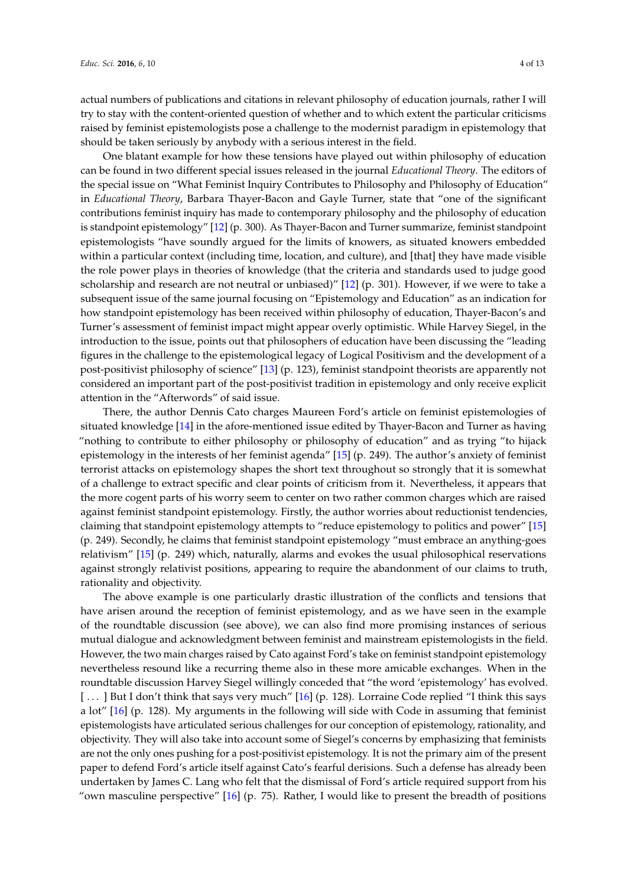actual numbers of publications and citations in relevant philosophy of education journals, rather I will try to stay with the content-oriented question of whether and to which extent the particular criticisms raised by feminist epistemologists pose a challenge to the modernist paradigm in epistemology that should be taken seriously by anybody with a serious interest in the field.

One blatant example for how these tensions have played out within philosophy of education can be found in two different special issues released in the journal *Educational Theory*. The editors of the special issue on "What Feminist Inquiry Contributes to Philosophy and Philosophy of Education" in *Educational Theory*, Barbara Thayer-Bacon and Gayle Turner, state that "one of the significant contributions feminist inquiry has made to contemporary philosophy and the philosophy of education is standpoint epistemology" [\[12\]](#page-11-1) (p. 300). As Thayer-Bacon and Turner summarize, feminist standpoint epistemologists "have soundly argued for the limits of knowers, as situated knowers embedded within a particular context (including time, location, and culture), and [that] they have made visible the role power plays in theories of knowledge (that the criteria and standards used to judge good scholarship and research are not neutral or unbiased)" [\[12\]](#page-11-1) (p. 301). However, if we were to take a subsequent issue of the same journal focusing on "Epistemology and Education" as an indication for how standpoint epistemology has been received within philosophy of education, Thayer-Bacon's and Turner's assessment of feminist impact might appear overly optimistic. While Harvey Siegel, in the introduction to the issue, points out that philosophers of education have been discussing the "leading figures in the challenge to the epistemological legacy of Logical Positivism and the development of a post-positivist philosophy of science" [\[13\]](#page-11-2) (p. 123), feminist standpoint theorists are apparently not considered an important part of the post-positivist tradition in epistemology and only receive explicit attention in the "Afterwords" of said issue.

There, the author Dennis Cato charges Maureen Ford's article on feminist epistemologies of situated knowledge [\[14\]](#page-11-3) in the afore-mentioned issue edited by Thayer-Bacon and Turner as having "nothing to contribute to either philosophy or philosophy of education" and as trying "to hijack epistemology in the interests of her feminist agenda" [\[15\]](#page-11-4) (p. 249). The author's anxiety of feminist terrorist attacks on epistemology shapes the short text throughout so strongly that it is somewhat of a challenge to extract specific and clear points of criticism from it. Nevertheless, it appears that the more cogent parts of his worry seem to center on two rather common charges which are raised against feminist standpoint epistemology. Firstly, the author worries about reductionist tendencies, claiming that standpoint epistemology attempts to "reduce epistemology to politics and power" [\[15\]](#page-11-4) (p. 249). Secondly, he claims that feminist standpoint epistemology "must embrace an anything-goes relativism" [\[15\]](#page-11-4) (p. 249) which, naturally, alarms and evokes the usual philosophical reservations against strongly relativist positions, appearing to require the abandonment of our claims to truth, rationality and objectivity.

The above example is one particularly drastic illustration of the conflicts and tensions that have arisen around the reception of feminist epistemology, and as we have seen in the example of the roundtable discussion (see above), we can also find more promising instances of serious mutual dialogue and acknowledgment between feminist and mainstream epistemologists in the field. However, the two main charges raised by Cato against Ford's take on feminist standpoint epistemology nevertheless resound like a recurring theme also in these more amicable exchanges. When in the roundtable discussion Harvey Siegel willingly conceded that "the word 'epistemology' has evolved. [...] But I don't think that says very much" [\[16\]](#page-11-5) (p. 128). Lorraine Code replied "I think this says a lot" [\[16\]](#page-11-5) (p. 128). My arguments in the following will side with Code in assuming that feminist epistemologists have articulated serious challenges for our conception of epistemology, rationality, and objectivity. They will also take into account some of Siegel's concerns by emphasizing that feminists are not the only ones pushing for a post-positivist epistemology. It is not the primary aim of the present paper to defend Ford's article itself against Cato's fearful derisions. Such a defense has already been undertaken by James C. Lang who felt that the dismissal of Ford's article required support from his "own masculine perspective"  $[16]$  (p. 75). Rather, I would like to present the breadth of positions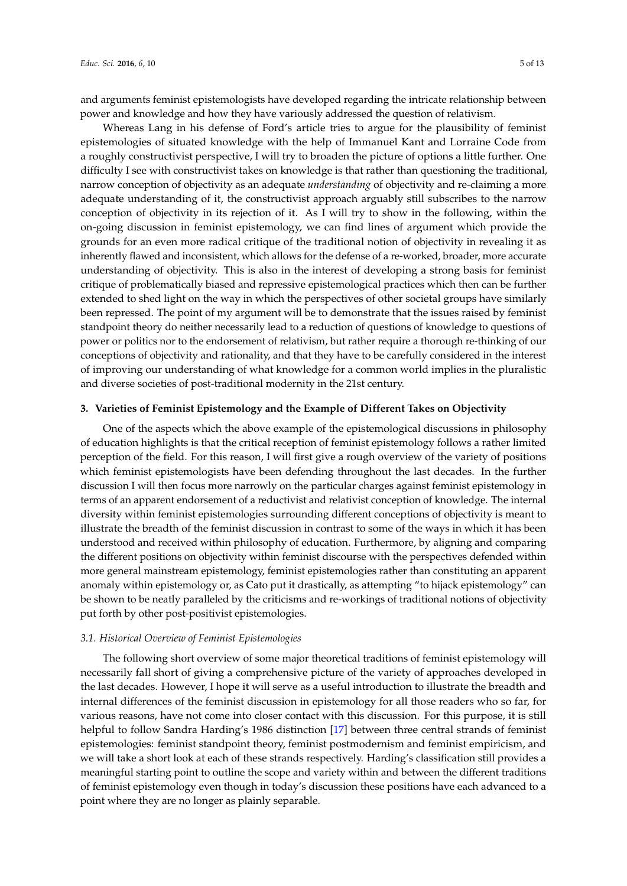and arguments feminist epistemologists have developed regarding the intricate relationship between power and knowledge and how they have variously addressed the question of relativism.

Whereas Lang in his defense of Ford's article tries to argue for the plausibility of feminist epistemologies of situated knowledge with the help of Immanuel Kant and Lorraine Code from a roughly constructivist perspective, I will try to broaden the picture of options a little further. One difficulty I see with constructivist takes on knowledge is that rather than questioning the traditional, narrow conception of objectivity as an adequate *understanding* of objectivity and re-claiming a more adequate understanding of it, the constructivist approach arguably still subscribes to the narrow conception of objectivity in its rejection of it. As I will try to show in the following, within the on-going discussion in feminist epistemology, we can find lines of argument which provide the grounds for an even more radical critique of the traditional notion of objectivity in revealing it as inherently flawed and inconsistent, which allows for the defense of a re-worked, broader, more accurate understanding of objectivity. This is also in the interest of developing a strong basis for feminist critique of problematically biased and repressive epistemological practices which then can be further extended to shed light on the way in which the perspectives of other societal groups have similarly been repressed. The point of my argument will be to demonstrate that the issues raised by feminist standpoint theory do neither necessarily lead to a reduction of questions of knowledge to questions of power or politics nor to the endorsement of relativism, but rather require a thorough re-thinking of our conceptions of objectivity and rationality, and that they have to be carefully considered in the interest of improving our understanding of what knowledge for a common world implies in the pluralistic and diverse societies of post-traditional modernity in the 21st century.

#### **3. Varieties of Feminist Epistemology and the Example of Different Takes on Objectivity**

One of the aspects which the above example of the epistemological discussions in philosophy of education highlights is that the critical reception of feminist epistemology follows a rather limited perception of the field. For this reason, I will first give a rough overview of the variety of positions which feminist epistemologists have been defending throughout the last decades. In the further discussion I will then focus more narrowly on the particular charges against feminist epistemology in terms of an apparent endorsement of a reductivist and relativist conception of knowledge. The internal diversity within feminist epistemologies surrounding different conceptions of objectivity is meant to illustrate the breadth of the feminist discussion in contrast to some of the ways in which it has been understood and received within philosophy of education. Furthermore, by aligning and comparing the different positions on objectivity within feminist discourse with the perspectives defended within more general mainstream epistemology, feminist epistemologies rather than constituting an apparent anomaly within epistemology or, as Cato put it drastically, as attempting "to hijack epistemology" can be shown to be neatly paralleled by the criticisms and re-workings of traditional notions of objectivity put forth by other post-positivist epistemologies.

#### *3.1. Historical Overview of Feminist Epistemologies*

The following short overview of some major theoretical traditions of feminist epistemology will necessarily fall short of giving a comprehensive picture of the variety of approaches developed in the last decades. However, I hope it will serve as a useful introduction to illustrate the breadth and internal differences of the feminist discussion in epistemology for all those readers who so far, for various reasons, have not come into closer contact with this discussion. For this purpose, it is still helpful to follow Sandra Harding's 1986 distinction [\[17\]](#page-11-6) between three central strands of feminist epistemologies: feminist standpoint theory, feminist postmodernism and feminist empiricism, and we will take a short look at each of these strands respectively. Harding's classification still provides a meaningful starting point to outline the scope and variety within and between the different traditions of feminist epistemology even though in today's discussion these positions have each advanced to a point where they are no longer as plainly separable.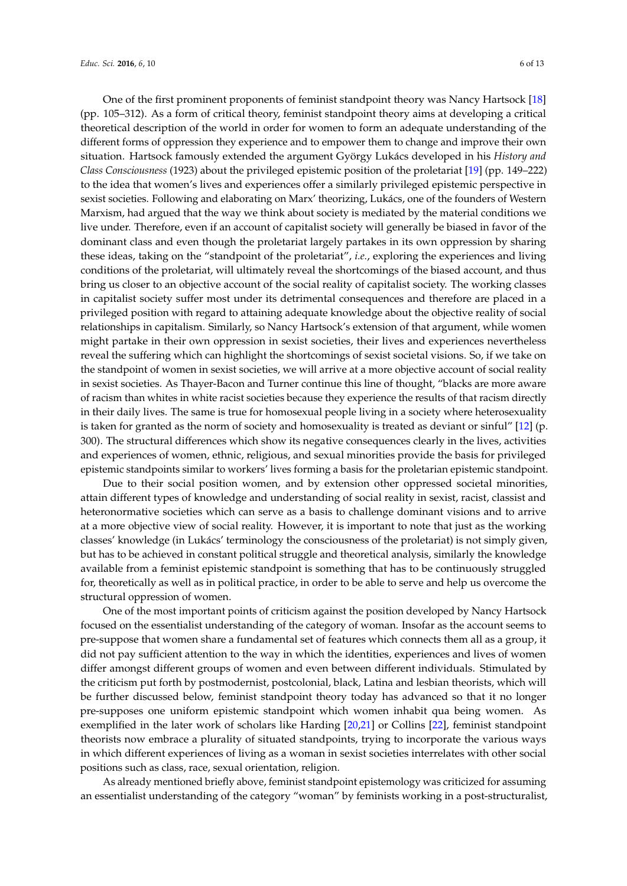One of the first prominent proponents of feminist standpoint theory was Nancy Hartsock [\[18\]](#page-11-7) (pp. 105–312). As a form of critical theory, feminist standpoint theory aims at developing a critical theoretical description of the world in order for women to form an adequate understanding of the different forms of oppression they experience and to empower them to change and improve their own situation. Hartsock famously extended the argument György Lukács developed in his *History and Class Consciousness* (1923) about the privileged epistemic position of the proletariat [\[19\]](#page-11-8) (pp. 149–222) to the idea that women's lives and experiences offer a similarly privileged epistemic perspective in sexist societies. Following and elaborating on Marx' theorizing, Lukács, one of the founders of Western Marxism, had argued that the way we think about society is mediated by the material conditions we live under. Therefore, even if an account of capitalist society will generally be biased in favor of the dominant class and even though the proletariat largely partakes in its own oppression by sharing these ideas, taking on the "standpoint of the proletariat", *i.e.*, exploring the experiences and living conditions of the proletariat, will ultimately reveal the shortcomings of the biased account, and thus bring us closer to an objective account of the social reality of capitalist society. The working classes in capitalist society suffer most under its detrimental consequences and therefore are placed in a privileged position with regard to attaining adequate knowledge about the objective reality of social relationships in capitalism. Similarly, so Nancy Hartsock's extension of that argument, while women might partake in their own oppression in sexist societies, their lives and experiences nevertheless reveal the suffering which can highlight the shortcomings of sexist societal visions. So, if we take on the standpoint of women in sexist societies, we will arrive at a more objective account of social reality in sexist societies. As Thayer-Bacon and Turner continue this line of thought, "blacks are more aware of racism than whites in white racist societies because they experience the results of that racism directly in their daily lives. The same is true for homosexual people living in a society where heterosexuality is taken for granted as the norm of society and homosexuality is treated as deviant or sinful" [\[12\]](#page-11-1) (p. 300). The structural differences which show its negative consequences clearly in the lives, activities and experiences of women, ethnic, religious, and sexual minorities provide the basis for privileged epistemic standpoints similar to workers' lives forming a basis for the proletarian epistemic standpoint.

Due to their social position women, and by extension other oppressed societal minorities, attain different types of knowledge and understanding of social reality in sexist, racist, classist and heteronormative societies which can serve as a basis to challenge dominant visions and to arrive at a more objective view of social reality. However, it is important to note that just as the working classes' knowledge (in Lukács' terminology the consciousness of the proletariat) is not simply given, but has to be achieved in constant political struggle and theoretical analysis, similarly the knowledge available from a feminist epistemic standpoint is something that has to be continuously struggled for, theoretically as well as in political practice, in order to be able to serve and help us overcome the structural oppression of women.

One of the most important points of criticism against the position developed by Nancy Hartsock focused on the essentialist understanding of the category of woman. Insofar as the account seems to pre-suppose that women share a fundamental set of features which connects them all as a group, it did not pay sufficient attention to the way in which the identities, experiences and lives of women differ amongst different groups of women and even between different individuals. Stimulated by the criticism put forth by postmodernist, postcolonial, black, Latina and lesbian theorists, which will be further discussed below, feminist standpoint theory today has advanced so that it no longer pre-supposes one uniform epistemic standpoint which women inhabit qua being women. As exemplified in the later work of scholars like Harding [\[20,](#page-11-9)[21\]](#page-11-10) or Collins [\[22\]](#page-11-11), feminist standpoint theorists now embrace a plurality of situated standpoints, trying to incorporate the various ways in which different experiences of living as a woman in sexist societies interrelates with other social positions such as class, race, sexual orientation, religion.

As already mentioned briefly above, feminist standpoint epistemology was criticized for assuming an essentialist understanding of the category "woman" by feminists working in a post-structuralist,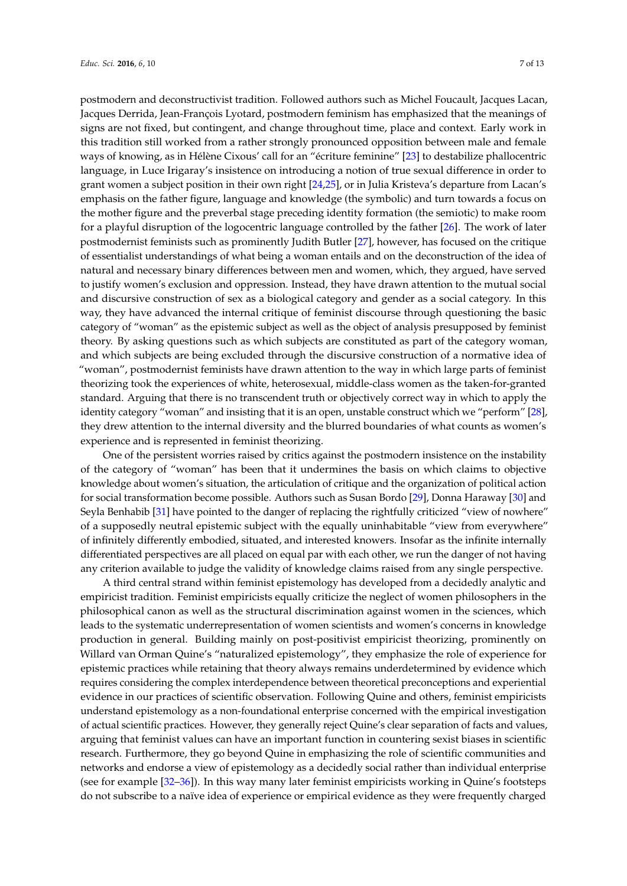postmodern and deconstructivist tradition. Followed authors such as Michel Foucault, Jacques Lacan, Jacques Derrida, Jean-François Lyotard, postmodern feminism has emphasized that the meanings of signs are not fixed, but contingent, and change throughout time, place and context. Early work in this tradition still worked from a rather strongly pronounced opposition between male and female ways of knowing, as in Hélène Cixous' call for an "écriture feminine" [\[23\]](#page-11-12) to destabilize phallocentric language, in Luce Irigaray's insistence on introducing a notion of true sexual difference in order to grant women a subject position in their own right [\[24,](#page-11-13)[25\]](#page-11-14), or in Julia Kristeva's departure from Lacan's emphasis on the father figure, language and knowledge (the symbolic) and turn towards a focus on the mother figure and the preverbal stage preceding identity formation (the semiotic) to make room for a playful disruption of the logocentric language controlled by the father [\[26\]](#page-11-15). The work of later postmodernist feminists such as prominently Judith Butler [\[27\]](#page-11-16), however, has focused on the critique of essentialist understandings of what being a woman entails and on the deconstruction of the idea of natural and necessary binary differences between men and women, which, they argued, have served to justify women's exclusion and oppression. Instead, they have drawn attention to the mutual social and discursive construction of sex as a biological category and gender as a social category. In this way, they have advanced the internal critique of feminist discourse through questioning the basic category of "woman" as the epistemic subject as well as the object of analysis presupposed by feminist theory. By asking questions such as which subjects are constituted as part of the category woman, and which subjects are being excluded through the discursive construction of a normative idea of "woman", postmodernist feminists have drawn attention to the way in which large parts of feminist theorizing took the experiences of white, heterosexual, middle-class women as the taken-for-granted standard. Arguing that there is no transcendent truth or objectively correct way in which to apply the identity category "woman" and insisting that it is an open, unstable construct which we "perform" [\[28\]](#page-11-17), they drew attention to the internal diversity and the blurred boundaries of what counts as women's experience and is represented in feminist theorizing.

One of the persistent worries raised by critics against the postmodern insistence on the instability of the category of "woman" has been that it undermines the basis on which claims to objective knowledge about women's situation, the articulation of critique and the organization of political action for social transformation become possible. Authors such as Susan Bordo [\[29\]](#page-11-18), Donna Haraway [\[30\]](#page-11-19) and Seyla Benhabib [\[31\]](#page-11-20) have pointed to the danger of replacing the rightfully criticized "view of nowhere" of a supposedly neutral epistemic subject with the equally uninhabitable "view from everywhere" of infinitely differently embodied, situated, and interested knowers. Insofar as the infinite internally differentiated perspectives are all placed on equal par with each other, we run the danger of not having any criterion available to judge the validity of knowledge claims raised from any single perspective.

A third central strand within feminist epistemology has developed from a decidedly analytic and empiricist tradition. Feminist empiricists equally criticize the neglect of women philosophers in the philosophical canon as well as the structural discrimination against women in the sciences, which leads to the systematic underrepresentation of women scientists and women's concerns in knowledge production in general. Building mainly on post-positivist empiricist theorizing, prominently on Willard van Orman Quine's "naturalized epistemology", they emphasize the role of experience for epistemic practices while retaining that theory always remains underdetermined by evidence which requires considering the complex interdependence between theoretical preconceptions and experiential evidence in our practices of scientific observation. Following Quine and others, feminist empiricists understand epistemology as a non-foundational enterprise concerned with the empirical investigation of actual scientific practices. However, they generally reject Quine's clear separation of facts and values, arguing that feminist values can have an important function in countering sexist biases in scientific research. Furthermore, they go beyond Quine in emphasizing the role of scientific communities and networks and endorse a view of epistemology as a decidedly social rather than individual enterprise (see for example [\[32–](#page-11-21)[36\]](#page-11-22)). In this way many later feminist empiricists working in Quine's footsteps do not subscribe to a naïve idea of experience or empirical evidence as they were frequently charged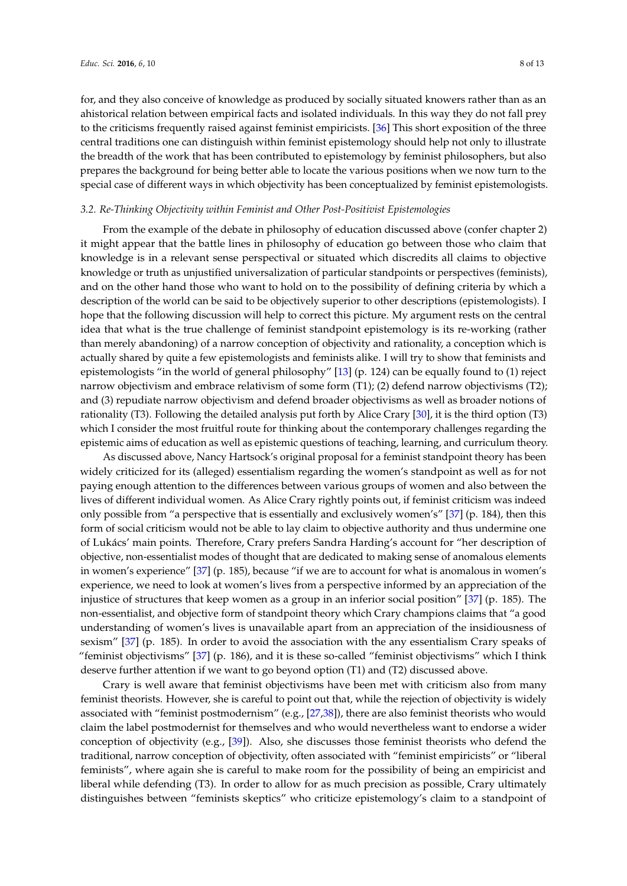for, and they also conceive of knowledge as produced by socially situated knowers rather than as an ahistorical relation between empirical facts and isolated individuals. In this way they do not fall prey to the criticisms frequently raised against feminist empiricists. [\[36\]](#page-11-22) This short exposition of the three central traditions one can distinguish within feminist epistemology should help not only to illustrate the breadth of the work that has been contributed to epistemology by feminist philosophers, but also prepares the background for being better able to locate the various positions when we now turn to the special case of different ways in which objectivity has been conceptualized by feminist epistemologists.

#### *3.2. Re-Thinking Objectivity within Feminist and Other Post-Positivist Epistemologies*

From the example of the debate in philosophy of education discussed above (confer chapter 2) it might appear that the battle lines in philosophy of education go between those who claim that knowledge is in a relevant sense perspectival or situated which discredits all claims to objective knowledge or truth as unjustified universalization of particular standpoints or perspectives (feminists), and on the other hand those who want to hold on to the possibility of defining criteria by which a description of the world can be said to be objectively superior to other descriptions (epistemologists). I hope that the following discussion will help to correct this picture. My argument rests on the central idea that what is the true challenge of feminist standpoint epistemology is its re-working (rather than merely abandoning) of a narrow conception of objectivity and rationality, a conception which is actually shared by quite a few epistemologists and feminists alike. I will try to show that feminists and epistemologists "in the world of general philosophy" [\[13\]](#page-11-2) (p. 124) can be equally found to (1) reject narrow objectivism and embrace relativism of some form (T1); (2) defend narrow objectivisms (T2); and (3) repudiate narrow objectivism and defend broader objectivisms as well as broader notions of rationality (T3). Following the detailed analysis put forth by Alice Crary [\[30\]](#page-11-19), it is the third option (T3) which I consider the most fruitful route for thinking about the contemporary challenges regarding the epistemic aims of education as well as epistemic questions of teaching, learning, and curriculum theory.

As discussed above, Nancy Hartsock's original proposal for a feminist standpoint theory has been widely criticized for its (alleged) essentialism regarding the women's standpoint as well as for not paying enough attention to the differences between various groups of women and also between the lives of different individual women. As Alice Crary rightly points out, if feminist criticism was indeed only possible from "a perspective that is essentially and exclusively women's" [\[37\]](#page-11-23) (p. 184), then this form of social criticism would not be able to lay claim to objective authority and thus undermine one of Lukács' main points. Therefore, Crary prefers Sandra Harding's account for "her description of objective, non-essentialist modes of thought that are dedicated to making sense of anomalous elements in women's experience" [\[37\]](#page-11-23) (p. 185), because "if we are to account for what is anomalous in women's experience, we need to look at women's lives from a perspective informed by an appreciation of the injustice of structures that keep women as a group in an inferior social position" [\[37\]](#page-11-23) (p. 185). The non-essentialist, and objective form of standpoint theory which Crary champions claims that "a good understanding of women's lives is unavailable apart from an appreciation of the insidiousness of sexism" [\[37\]](#page-11-23) (p. 185). In order to avoid the association with the any essentialism Crary speaks of "feminist objectivisms" [\[37\]](#page-11-23) (p. 186), and it is these so-called "feminist objectivisms" which I think deserve further attention if we want to go beyond option (T1) and (T2) discussed above.

Crary is well aware that feminist objectivisms have been met with criticism also from many feminist theorists. However, she is careful to point out that, while the rejection of objectivity is widely associated with "feminist postmodernism" (e.g., [\[27](#page-11-16)[,38\]](#page-11-24)), there are also feminist theorists who would claim the label postmodernist for themselves and who would nevertheless want to endorse a wider conception of objectivity (e.g., [\[39\]](#page-11-25)). Also, she discusses those feminist theorists who defend the traditional, narrow conception of objectivity, often associated with "feminist empiricists" or "liberal feminists", where again she is careful to make room for the possibility of being an empiricist and liberal while defending (T3). In order to allow for as much precision as possible, Crary ultimately distinguishes between "feminists skeptics" who criticize epistemology's claim to a standpoint of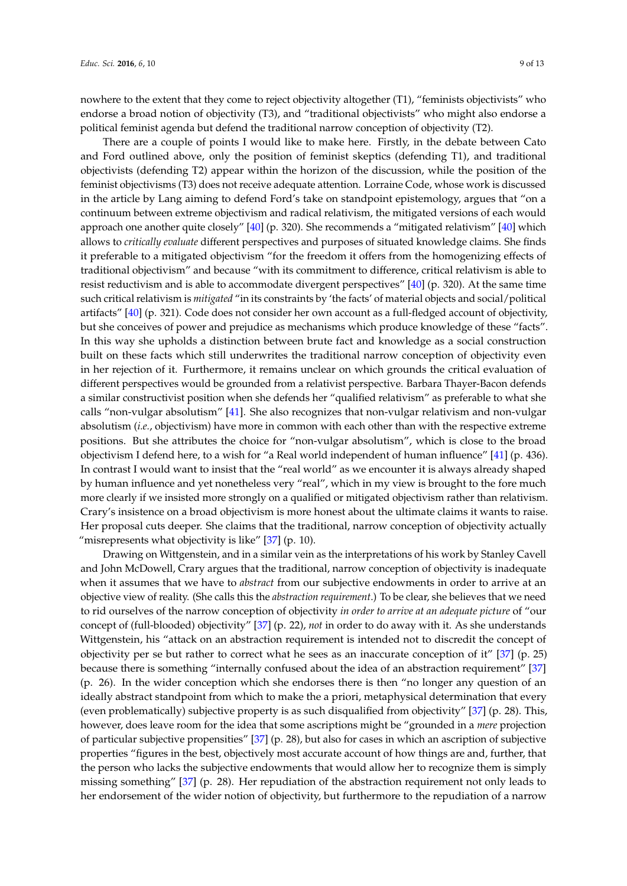nowhere to the extent that they come to reject objectivity altogether (T1), "feminists objectivists" who endorse a broad notion of objectivity (T3), and "traditional objectivists" who might also endorse a political feminist agenda but defend the traditional narrow conception of objectivity (T2).

There are a couple of points I would like to make here. Firstly, in the debate between Cato and Ford outlined above, only the position of feminist skeptics (defending T1), and traditional objectivists (defending T2) appear within the horizon of the discussion, while the position of the feminist objectivisms (T3) does not receive adequate attention. Lorraine Code, whose work is discussed in the article by Lang aiming to defend Ford's take on standpoint epistemology, argues that "on a continuum between extreme objectivism and radical relativism, the mitigated versions of each would approach one another quite closely" [\[40\]](#page-11-26) (p. 320). She recommends a "mitigated relativism" [\[40\]](#page-11-26) which allows to *critically evaluate* different perspectives and purposes of situated knowledge claims. She finds it preferable to a mitigated objectivism "for the freedom it offers from the homogenizing effects of traditional objectivism" and because "with its commitment to difference, critical relativism is able to resist reductivism and is able to accommodate divergent perspectives" [\[40\]](#page-11-26) (p. 320). At the same time such critical relativism is *mitigated* "in its constraints by 'the facts' of material objects and social/political artifacts" [\[40\]](#page-11-26) (p. 321). Code does not consider her own account as a full-fledged account of objectivity, but she conceives of power and prejudice as mechanisms which produce knowledge of these "facts". In this way she upholds a distinction between brute fact and knowledge as a social construction built on these facts which still underwrites the traditional narrow conception of objectivity even in her rejection of it. Furthermore, it remains unclear on which grounds the critical evaluation of different perspectives would be grounded from a relativist perspective. Barbara Thayer-Bacon defends a similar constructivist position when she defends her "qualified relativism" as preferable to what she calls "non-vulgar absolutism" [\[41\]](#page-11-27). She also recognizes that non-vulgar relativism and non-vulgar absolutism (*i.e.*, objectivism) have more in common with each other than with the respective extreme positions. But she attributes the choice for "non-vulgar absolutism", which is close to the broad objectivism I defend here, to a wish for "a Real world independent of human influence" [\[41\]](#page-11-27) (p. 436). In contrast I would want to insist that the "real world" as we encounter it is always already shaped by human influence and yet nonetheless very "real", which in my view is brought to the fore much more clearly if we insisted more strongly on a qualified or mitigated objectivism rather than relativism. Crary's insistence on a broad objectivism is more honest about the ultimate claims it wants to raise. Her proposal cuts deeper. She claims that the traditional, narrow conception of objectivity actually "misrepresents what objectivity is like"  $[37]$  (p. 10).

Drawing on Wittgenstein, and in a similar vein as the interpretations of his work by Stanley Cavell and John McDowell, Crary argues that the traditional, narrow conception of objectivity is inadequate when it assumes that we have to *abstract* from our subjective endowments in order to arrive at an objective view of reality. (She calls this the *abstraction requirement*.) To be clear, she believes that we need to rid ourselves of the narrow conception of objectivity *in order to arrive at an adequate picture* of "our concept of (full-blooded) objectivity" [\[37\]](#page-11-23) (p. 22), *not* in order to do away with it. As she understands Wittgenstein, his "attack on an abstraction requirement is intended not to discredit the concept of objectivity per se but rather to correct what he sees as an inaccurate conception of it" [\[37\]](#page-11-23) (p. 25) because there is something "internally confused about the idea of an abstraction requirement" [\[37\]](#page-11-23) (p. 26). In the wider conception which she endorses there is then "no longer any question of an ideally abstract standpoint from which to make the a priori, metaphysical determination that every (even problematically) subjective property is as such disqualified from objectivity" [\[37\]](#page-11-23) (p. 28). This, however, does leave room for the idea that some ascriptions might be "grounded in a *mere* projection of particular subjective propensities" [\[37\]](#page-11-23) (p. 28), but also for cases in which an ascription of subjective properties "figures in the best, objectively most accurate account of how things are and, further, that the person who lacks the subjective endowments that would allow her to recognize them is simply missing something" [\[37\]](#page-11-23) (p. 28). Her repudiation of the abstraction requirement not only leads to her endorsement of the wider notion of objectivity, but furthermore to the repudiation of a narrow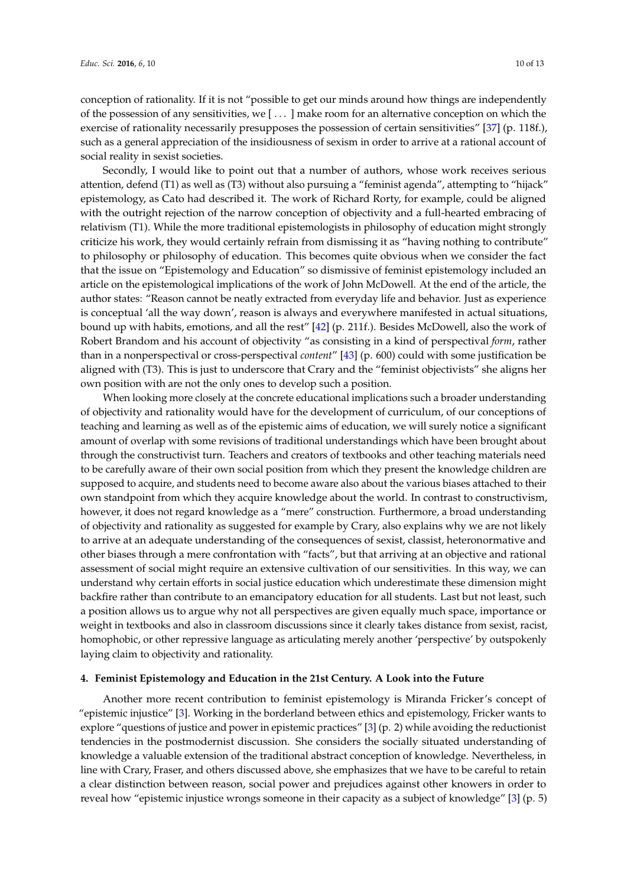conception of rationality. If it is not "possible to get our minds around how things are independently of the possession of any sensitivities, we [ . . . ] make room for an alternative conception on which the exercise of rationality necessarily presupposes the possession of certain sensitivities" [\[37\]](#page-11-23) (p. 118f.), such as a general appreciation of the insidiousness of sexism in order to arrive at a rational account of social reality in sexist societies.

Secondly, I would like to point out that a number of authors, whose work receives serious attention, defend (T1) as well as (T3) without also pursuing a "feminist agenda", attempting to "hijack" epistemology, as Cato had described it. The work of Richard Rorty, for example, could be aligned with the outright rejection of the narrow conception of objectivity and a full-hearted embracing of relativism (T1). While the more traditional epistemologists in philosophy of education might strongly criticize his work, they would certainly refrain from dismissing it as "having nothing to contribute" to philosophy or philosophy of education. This becomes quite obvious when we consider the fact that the issue on "Epistemology and Education" so dismissive of feminist epistemology included an article on the epistemological implications of the work of John McDowell. At the end of the article, the author states: "Reason cannot be neatly extracted from everyday life and behavior. Just as experience is conceptual 'all the way down', reason is always and everywhere manifested in actual situations, bound up with habits, emotions, and all the rest" [\[42\]](#page-11-28) (p. 211f.). Besides McDowell, also the work of Robert Brandom and his account of objectivity "as consisting in a kind of perspectival *form*, rather than in a nonperspectival or cross-perspectival *content*" [\[43\]](#page-11-29) (p. 600) could with some justification be aligned with (T3). This is just to underscore that Crary and the "feminist objectivists" she aligns her own position with are not the only ones to develop such a position.

When looking more closely at the concrete educational implications such a broader understanding of objectivity and rationality would have for the development of curriculum, of our conceptions of teaching and learning as well as of the epistemic aims of education, we will surely notice a significant amount of overlap with some revisions of traditional understandings which have been brought about through the constructivist turn. Teachers and creators of textbooks and other teaching materials need to be carefully aware of their own social position from which they present the knowledge children are supposed to acquire, and students need to become aware also about the various biases attached to their own standpoint from which they acquire knowledge about the world. In contrast to constructivism, however, it does not regard knowledge as a "mere" construction. Furthermore, a broad understanding of objectivity and rationality as suggested for example by Crary, also explains why we are not likely to arrive at an adequate understanding of the consequences of sexist, classist, heteronormative and other biases through a mere confrontation with "facts", but that arriving at an objective and rational assessment of social might require an extensive cultivation of our sensitivities. In this way, we can understand why certain efforts in social justice education which underestimate these dimension might backfire rather than contribute to an emancipatory education for all students. Last but not least, such a position allows us to argue why not all perspectives are given equally much space, importance or weight in textbooks and also in classroom discussions since it clearly takes distance from sexist, racist, homophobic, or other repressive language as articulating merely another 'perspective' by outspokenly laying claim to objectivity and rationality.

#### **4. Feminist Epistemology and Education in the 21st Century. A Look into the Future**

Another more recent contribution to feminist epistemology is Miranda Fricker's concept of "epistemic injustice" [\[3\]](#page-10-2). Working in the borderland between ethics and epistemology, Fricker wants to explore "questions of justice and power in epistemic practices" [\[3\]](#page-10-2) (p. 2) while avoiding the reductionist tendencies in the postmodernist discussion. She considers the socially situated understanding of knowledge a valuable extension of the traditional abstract conception of knowledge. Nevertheless, in line with Crary, Fraser, and others discussed above, she emphasizes that we have to be careful to retain a clear distinction between reason, social power and prejudices against other knowers in order to reveal how "epistemic injustice wrongs someone in their capacity as a subject of knowledge" [\[3\]](#page-10-2) (p. 5)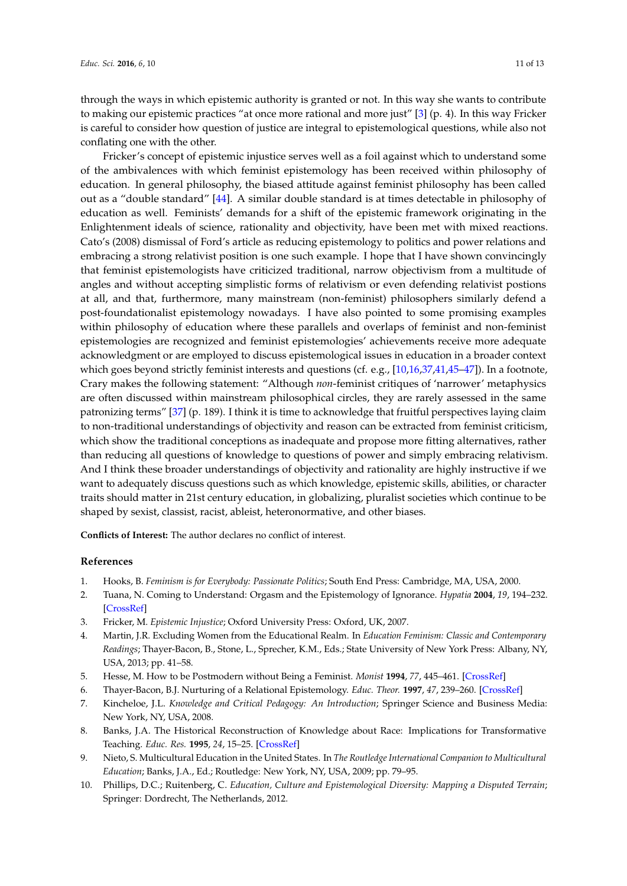through the ways in which epistemic authority is granted or not. In this way she wants to contribute to making our epistemic practices "at once more rational and more just" [\[3\]](#page-10-2) (p. 4). In this way Fricker is careful to consider how question of justice are integral to epistemological questions, while also not conflating one with the other.

Fricker's concept of epistemic injustice serves well as a foil against which to understand some of the ambivalences with which feminist epistemology has been received within philosophy of education. In general philosophy, the biased attitude against feminist philosophy has been called out as a "double standard" [\[44\]](#page-12-0). A similar double standard is at times detectable in philosophy of education as well. Feminists' demands for a shift of the epistemic framework originating in the Enlightenment ideals of science, rationality and objectivity, have been met with mixed reactions. Cato's (2008) dismissal of Ford's article as reducing epistemology to politics and power relations and embracing a strong relativist position is one such example. I hope that I have shown convincingly that feminist epistemologists have criticized traditional, narrow objectivism from a multitude of angles and without accepting simplistic forms of relativism or even defending relativist postions at all, and that, furthermore, many mainstream (non-feminist) philosophers similarly defend a post-foundationalist epistemology nowadays. I have also pointed to some promising examples within philosophy of education where these parallels and overlaps of feminist and non-feminist epistemologies are recognized and feminist epistemologies' achievements receive more adequate acknowledgment or are employed to discuss epistemological issues in education in a broader context which goes beyond strictly feminist interests and questions (cf. e.g., [\[10](#page-10-9)[,16](#page-11-5)[,37](#page-11-23)[,41](#page-11-27)[,45–](#page-12-1)[47\]](#page-12-2)). In a footnote, Crary makes the following statement: "Although *non*-feminist critiques of 'narrower' metaphysics are often discussed within mainstream philosophical circles, they are rarely assessed in the same patronizing terms" [\[37\]](#page-11-23) (p. 189). I think it is time to acknowledge that fruitful perspectives laying claim to non-traditional understandings of objectivity and reason can be extracted from feminist criticism, which show the traditional conceptions as inadequate and propose more fitting alternatives, rather than reducing all questions of knowledge to questions of power and simply embracing relativism. And I think these broader understandings of objectivity and rationality are highly instructive if we want to adequately discuss questions such as which knowledge, epistemic skills, abilities, or character traits should matter in 21st century education, in globalizing, pluralist societies which continue to be shaped by sexist, classist, racist, ableist, heteronormative, and other biases.

**Conflicts of Interest:** The author declares no conflict of interest.

### **References**

- <span id="page-10-0"></span>1. Hooks, B. *Feminism is for Everybody: Passionate Politics*; South End Press: Cambridge, MA, USA, 2000.
- <span id="page-10-1"></span>2. Tuana, N. Coming to Understand: Orgasm and the Epistemology of Ignorance. *Hypatia* **2004**, *19*, 194–232. [\[CrossRef\]](http://dx.doi.org/10.1111/j.1527-2001.2004.tb01275.x)
- <span id="page-10-2"></span>3. Fricker, M. *Epistemic Injustice*; Oxford University Press: Oxford, UK, 2007.
- <span id="page-10-3"></span>4. Martin, J.R. Excluding Women from the Educational Realm. In *Education Feminism: Classic and Contemporary Readings*; Thayer-Bacon, B., Stone, L., Sprecher, K.M., Eds.; State University of New York Press: Albany, NY, USA, 2013; pp. 41–58.
- <span id="page-10-4"></span>5. Hesse, M. How to be Postmodern without Being a Feminist. *Monist* **1994**, *77*, 445–461. [\[CrossRef\]](http://dx.doi.org/10.5840/monist199477423)
- <span id="page-10-6"></span><span id="page-10-5"></span>6. Thayer-Bacon, B.J. Nurturing of a Relational Epistemology. *Educ. Theor.* **1997**, *47*, 239–260. [\[CrossRef\]](http://dx.doi.org/10.1111/j.1741-5446.1997.00239.x)
- 7. Kincheloe, J.L. *Knowledge and Critical Pedagogy: An Introduction*; Springer Science and Business Media: New York, NY, USA, 2008.
- <span id="page-10-7"></span>8. Banks, J.A. The Historical Reconstruction of Knowledge about Race: Implications for Transformative Teaching. *Educ. Res.* **1995**, *24*, 15–25. [\[CrossRef\]](http://dx.doi.org/10.3102/0013189X024002015)
- <span id="page-10-8"></span>9. Nieto, S. Multicultural Education in the United States. In *The Routledge International Companion to Multicultural Education*; Banks, J.A., Ed.; Routledge: New York, NY, USA, 2009; pp. 79–95.
- <span id="page-10-9"></span>10. Phillips, D.C.; Ruitenberg, C. *Education, Culture and Epistemological Diversity: Mapping a Disputed Terrain*; Springer: Dordrecht, The Netherlands, 2012.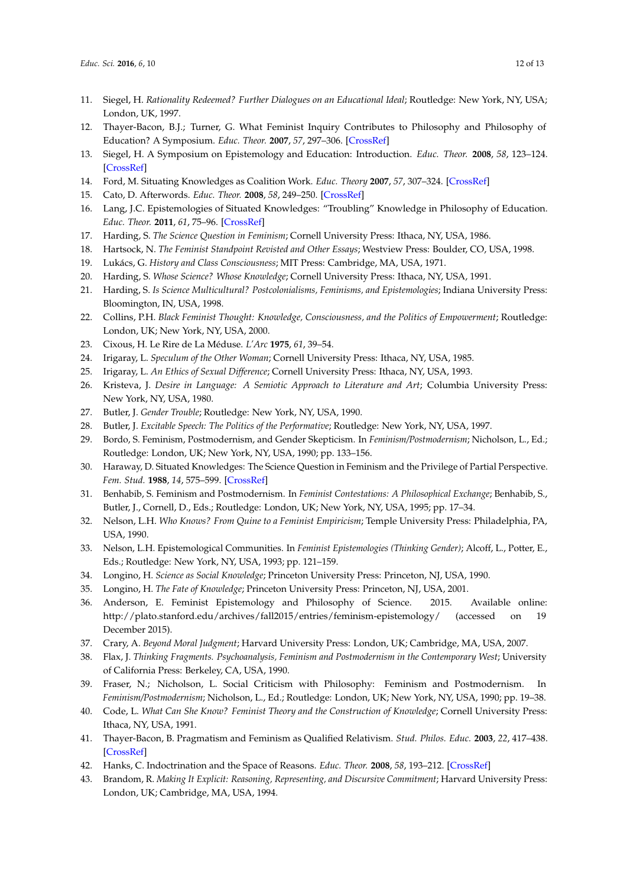- <span id="page-11-0"></span>11. Siegel, H. *Rationality Redeemed? Further Dialogues on an Educational Ideal*; Routledge: New York, NY, USA; London, UK, 1997.
- <span id="page-11-1"></span>12. Thayer-Bacon, B.J.; Turner, G. What Feminist Inquiry Contributes to Philosophy and Philosophy of Education? A Symposium. *Educ. Theor.* **2007**, *57*, 297–306. [\[CrossRef\]](http://dx.doi.org/10.1111/j.1741-5446.2007.00258.x)
- <span id="page-11-2"></span>13. Siegel, H. A Symposium on Epistemology and Education: Introduction. *Educ. Theor.* **2008**, *58*, 123–124. [\[CrossRef\]](http://dx.doi.org/10.1111/j.1741-5446.2008.00280.x)
- <span id="page-11-3"></span>14. Ford, M. Situating Knowledges as Coalition Work. *Educ. Theory* **2007**, *57*, 307–324. [\[CrossRef\]](http://dx.doi.org/10.1111/j.1741-5446.2007.00259.x)
- <span id="page-11-4"></span>15. Cato, D. Afterwords. *Educ. Theor.* **2008**, *58*, 249–250. [\[CrossRef\]](http://dx.doi.org/10.1111/j.1741-5446.2007.00279.x)
- <span id="page-11-5"></span>16. Lang, J.C. Epistemologies of Situated Knowledges: "Troubling" Knowledge in Philosophy of Education. *Educ. Theor.* **2011**, *61*, 75–96. [\[CrossRef\]](http://dx.doi.org/10.1111/j.1741-5446.2011.00392.x)
- <span id="page-11-6"></span>17. Harding, S. *The Science Question in Feminism*; Cornell University Press: Ithaca, NY, USA, 1986.
- <span id="page-11-7"></span>18. Hartsock, N. *The Feminist Standpoint Revisted and Other Essays*; Westview Press: Boulder, CO, USA, 1998.
- <span id="page-11-8"></span>19. Lukács, G. *History and Class Consciousness*; MIT Press: Cambridge, MA, USA, 1971.
- <span id="page-11-9"></span>20. Harding, S. *Whose Science? Whose Knowledge*; Cornell University Press: Ithaca, NY, USA, 1991.
- <span id="page-11-10"></span>21. Harding, S. *Is Science Multicultural? Postcolonialisms, Feminisms, and Epistemologies*; Indiana University Press: Bloomington, IN, USA, 1998.
- <span id="page-11-11"></span>22. Collins, P.H. *Black Feminist Thought: Knowledge, Consciousness, and the Politics of Empowerment*; Routledge: London, UK; New York, NY, USA, 2000.
- <span id="page-11-12"></span>23. Cixous, H. Le Rire de La Méduse. *L'Arc* **1975**, *61*, 39–54.
- <span id="page-11-13"></span>24. Irigaray, L. *Speculum of the Other Woman*; Cornell University Press: Ithaca, NY, USA, 1985.
- <span id="page-11-14"></span>25. Irigaray, L. *An Ethics of Sexual Difference*; Cornell University Press: Ithaca, NY, USA, 1993.
- <span id="page-11-15"></span>26. Kristeva, J. *Desire in Language: A Semiotic Approach to Literature and Art*; Columbia University Press: New York, NY, USA, 1980.
- <span id="page-11-16"></span>27. Butler, J. *Gender Trouble*; Routledge: New York, NY, USA, 1990.
- <span id="page-11-17"></span>28. Butler, J. *Excitable Speech: The Politics of the Performative*; Routledge: New York, NY, USA, 1997.
- <span id="page-11-18"></span>29. Bordo, S. Feminism, Postmodernism, and Gender Skepticism. In *Feminism/Postmodernism*; Nicholson, L., Ed.; Routledge: London, UK; New York, NY, USA, 1990; pp. 133–156.
- <span id="page-11-19"></span>30. Haraway, D. Situated Knowledges: The Science Question in Feminism and the Privilege of Partial Perspective. *Fem. Stud.* **1988**, *14*, 575–599. [\[CrossRef\]](http://dx.doi.org/10.2307/3178066)
- <span id="page-11-20"></span>31. Benhabib, S. Feminism and Postmodernism. In *Feminist Contestations: A Philosophical Exchange*; Benhabib, S., Butler, J., Cornell, D., Eds.; Routledge: London, UK; New York, NY, USA, 1995; pp. 17–34.
- <span id="page-11-21"></span>32. Nelson, L.H. *Who Knows? From Quine to a Feminist Empiricism*; Temple University Press: Philadelphia, PA, USA, 1990.
- 33. Nelson, L.H. Epistemological Communities. In *Feminist Epistemologies (Thinking Gender)*; Alcoff, L., Potter, E., Eds.; Routledge: New York, NY, USA, 1993; pp. 121–159.
- 34. Longino, H. *Science as Social Knowledge*; Princeton University Press: Princeton, NJ, USA, 1990.
- 35. Longino, H. *The Fate of Knowledge*; Princeton University Press: Princeton, NJ, USA, 2001.
- <span id="page-11-22"></span>36. Anderson, E. Feminist Epistemology and Philosophy of Science. 2015. Available online: http://plato.stanford.edu/archives/fall2015/entries/feminism-epistemology/ (accessed on 19 December 2015).
- <span id="page-11-23"></span>37. Crary, A. *Beyond Moral Judgment*; Harvard University Press: London, UK; Cambridge, MA, USA, 2007.
- <span id="page-11-24"></span>38. Flax, J. *Thinking Fragments. Psychoanalysis, Feminism and Postmodernism in the Contemporary West*; University of California Press: Berkeley, CA, USA, 1990.
- <span id="page-11-25"></span>39. Fraser, N.; Nicholson, L. Social Criticism with Philosophy: Feminism and Postmodernism. In *Feminism/Postmodernism*; Nicholson, L., Ed.; Routledge: London, UK; New York, NY, USA, 1990; pp. 19–38.
- <span id="page-11-26"></span>40. Code, L. *What Can She Know? Feminist Theory and the Construction of Knowledge*; Cornell University Press: Ithaca, NY, USA, 1991.
- <span id="page-11-27"></span>41. Thayer-Bacon, B. Pragmatism and Feminism as Qualified Relativism. *Stud. Philos. Educ.* **2003**, *22*, 417–438. [\[CrossRef\]](http://dx.doi.org/10.1023/A:1025735417682)
- <span id="page-11-28"></span>42. Hanks, C. Indoctrination and the Space of Reasons. *Educ. Theor.* **2008**, *58*, 193–212. [\[CrossRef\]](http://dx.doi.org/10.1111/j.1741-5446.2008.00284.x)
- <span id="page-11-29"></span>43. Brandom, R. *Making It Explicit: Reasoning, Representing, and Discursive Commitment*; Harvard University Press: London, UK; Cambridge, MA, USA, 1994.